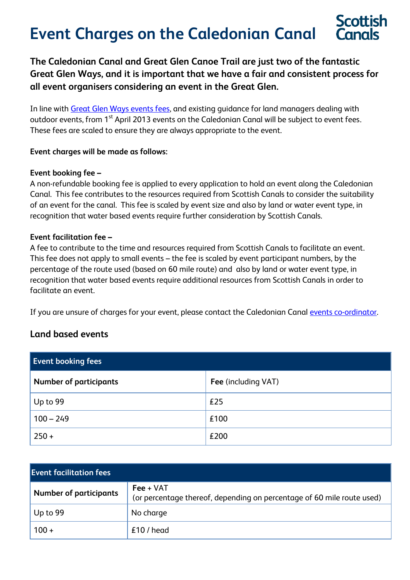# **Event Charges on the Caledonian Canal**

**The Caledonian Canal and Great Glen Canoe Trail are just two of the fantastic Great Glen Ways, and it is important that we have a fair and consistent process for all event organisers considering an event in the Great Glen.**

In line with [Great Glen Ways events fees,](http://www.greatglenway.com/Events_Guidelines.pdf) and existing guidance for land managers dealing with outdoor events, from 1<sup>st</sup> April 2013 events on the Caledonian Canal will be subject to event fees. These fees are scaled to ensure they are always appropriate to the event.

#### **Event charges will be made as follows:**

#### **Event booking fee –**

A non-refundable booking fee is applied to every application to hold an event along the Caledonian Canal. This fee contributes to the resources required from Scottish Canals to consider the suitability of an event for the canal. This fee is scaled by event size and also by land or water event type, in recognition that water based events require further consideration by Scottish Canals.

#### **Event facilitation fee –**

A fee to contribute to the time and resources required from Scottish Canals to facilitate an event. This fee does not apply to small events – the fee is scaled by event participant numbers, by the percentage of the route used (based on 60 mile route) and also by land or water event type, in recognition that water based events require additional resources from Scottish Canals in order to facilitate an event.

If you are unsure of charges for your event, please contact the Caledonian Canal [events co-ordinator.](mailto:events@scottishcanals.co.uk.)

## **Land based events**

| <b>Event booking fees</b>     |                     |  |
|-------------------------------|---------------------|--|
| <b>Number of participants</b> | Fee (including VAT) |  |
| Up to 99                      | £25                 |  |
| $100 - 249$                   | £100                |  |
| $250 +$                       | £200                |  |

| <b>Event facilitation fees</b> |                                                                                       |
|--------------------------------|---------------------------------------------------------------------------------------|
| <b>Number of participants</b>  | $Fee + VAT$<br>(or percentage thereof, depending on percentage of 60 mile route used) |
| Up to 99                       | No charge                                                                             |
| $100 +$                        | $£10$ / head                                                                          |